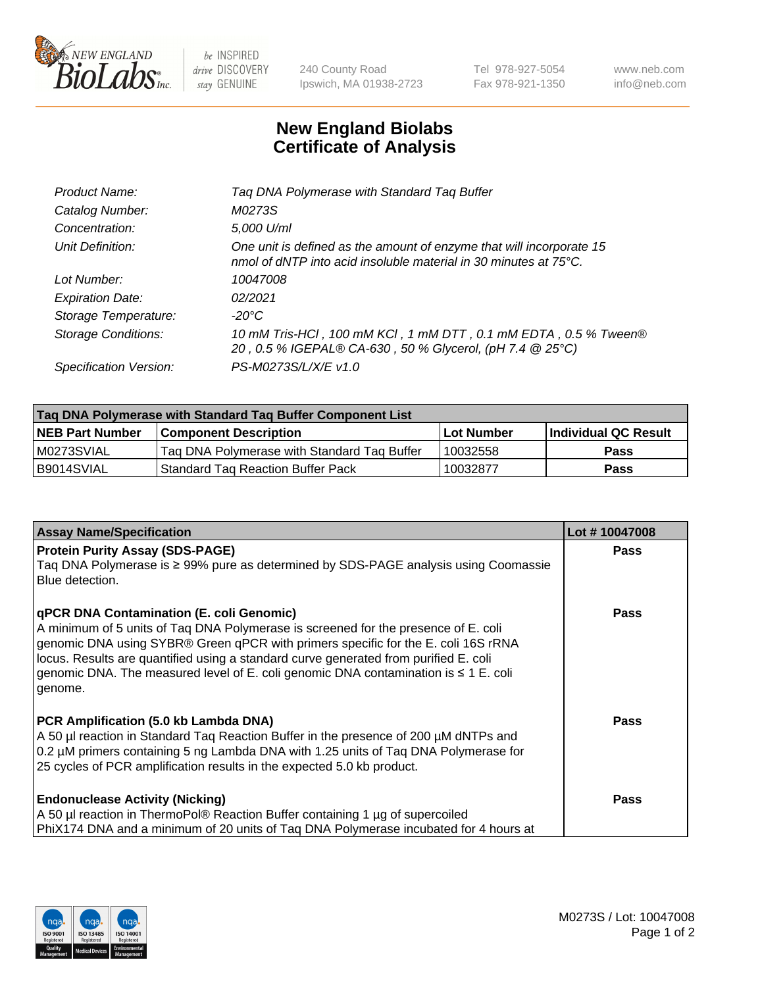

 $be$  INSPIRED drive DISCOVERY stay GENUINE

240 County Road Ipswich, MA 01938-2723 Tel 978-927-5054 Fax 978-921-1350 www.neb.com info@neb.com

## **New England Biolabs Certificate of Analysis**

| Product Name:              | Tag DNA Polymerase with Standard Tag Buffer                                                                                              |
|----------------------------|------------------------------------------------------------------------------------------------------------------------------------------|
| Catalog Number:            | M0273S                                                                                                                                   |
| Concentration:             | 5,000 U/ml                                                                                                                               |
| Unit Definition:           | One unit is defined as the amount of enzyme that will incorporate 15<br>nmol of dNTP into acid insoluble material in 30 minutes at 75°C. |
| Lot Number:                | 10047008                                                                                                                                 |
| <b>Expiration Date:</b>    | 02/2021                                                                                                                                  |
| Storage Temperature:       | $-20^{\circ}$ C                                                                                                                          |
| <b>Storage Conditions:</b> | 10 mM Tris-HCl, 100 mM KCl, 1 mM DTT, 0.1 mM EDTA, 0.5 % Tween®<br>20, 0.5 % IGEPAL® CA-630, 50 % Glycerol, (pH 7.4 @ 25°C)              |
| Specification Version:     | PS-M0273S/L/X/E v1.0                                                                                                                     |
|                            |                                                                                                                                          |

| Taq DNA Polymerase with Standard Taq Buffer Component List |                                             |                   |                      |  |
|------------------------------------------------------------|---------------------------------------------|-------------------|----------------------|--|
| <b>NEB Part Number</b>                                     | Component Description_                      | <b>Lot Number</b> | Individual QC Result |  |
| M0273SVIAL                                                 | Tag DNA Polymerase with Standard Tag Buffer | 10032558          | <b>Pass</b>          |  |
| B9014SVIAL                                                 | Standard Tag Reaction Buffer Pack           | 10032877          | Pass                 |  |

| <b>Assay Name/Specification</b>                                                                                                                                                                                                                                                                                                                                                                                    | Lot #10047008 |
|--------------------------------------------------------------------------------------------------------------------------------------------------------------------------------------------------------------------------------------------------------------------------------------------------------------------------------------------------------------------------------------------------------------------|---------------|
| <b>Protein Purity Assay (SDS-PAGE)</b><br>Taq DNA Polymerase is ≥ 99% pure as determined by SDS-PAGE analysis using Coomassie<br>Blue detection.                                                                                                                                                                                                                                                                   | <b>Pass</b>   |
| qPCR DNA Contamination (E. coli Genomic)<br>A minimum of 5 units of Taq DNA Polymerase is screened for the presence of E. coli<br>genomic DNA using SYBR® Green qPCR with primers specific for the E. coli 16S rRNA<br>locus. Results are quantified using a standard curve generated from purified E. coli<br>genomic DNA. The measured level of E. coli genomic DNA contamination is $\leq 1$ E. coli<br>genome. | <b>Pass</b>   |
| PCR Amplification (5.0 kb Lambda DNA)<br>A 50 µl reaction in Standard Taq Reaction Buffer in the presence of 200 µM dNTPs and<br>0.2 µM primers containing 5 ng Lambda DNA with 1.25 units of Taq DNA Polymerase for<br>25 cycles of PCR amplification results in the expected 5.0 kb product.                                                                                                                     | Pass          |
| <b>Endonuclease Activity (Nicking)</b><br>A 50 µl reaction in ThermoPol® Reaction Buffer containing 1 µg of supercoiled<br>PhiX174 DNA and a minimum of 20 units of Tag DNA Polymerase incubated for 4 hours at                                                                                                                                                                                                    | Pass          |